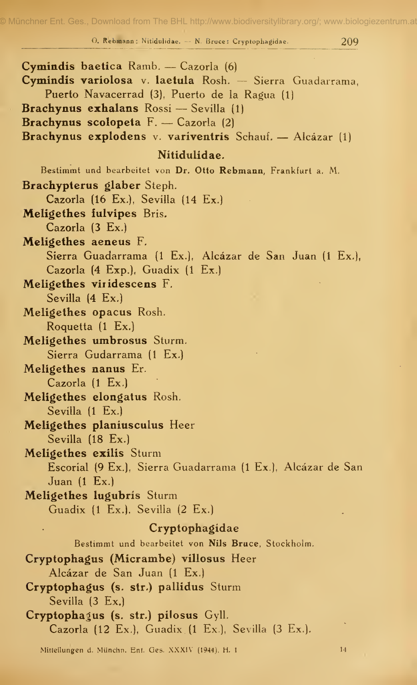© Münchner Ent. Ges., Download from The BHL http://www.biodiversitylibrary.org/; www.biologiezentrum.at

O. Rebmann: Nitidulidae. - N. Bruce: Cryptophagidae. 209

Cymindis baetica Ramb, — Cazorla (6) Cymindis variolosa v. laetula Rosh. — Sierra Guadarrama, Puerto Navaccrrad (3), Puerto de la Ragua (1) Brachynus exhalans Rossi — Sevilla (1) Brachynus scolopcta F. — Cazorla (2) Brachynus explodens v. variventris Schauf. - Alcäzar (1) Nitiduiidae. Bestimmt und bearbeitet von Dr. Otto Rebmann, Frankfurt a. M, Brachypterus glaber Steph. Cazorla (16 Ex.), Sevilla (14 Ex.) Meligethes fulvipes Bris. Cazorla (3 Ex.) Meligethes aeneus F. Sierra Guadarrama (1 Ex.), Alcäzar de San Juan (i Ex.), Cazorla (4 Exp.), Guadix (1 Ex.) Meligethes viridescens F. Sevilla (4 Ex.) Meligethes opacus Rosh. Roquetta (1 Ex.) Meligethes umbrosus Sturm. Sierra Gudarrama (1 Ex.) Meligcthcs nanus Er. Cazorla (1 Ex.) Meligethes elongatus Rosh. Sevilla (1 Ex.) Meligcthcs planiusculus Heer Sevilla (18 Ex.) Meligethes exilis Sturm Escorial (9 Ex.), Sierra Guadarrama (1 Ex.), Alcäzar de San Juan (1 Ex.) Meligethes lugubris Sturm Guadix (1 Ex.), Sevilla (2 Ex.) Cryptophagidae Bestimmt und bearbeitet von Nils Bruce, Stockholm. Cryptophagus (Micrambe) villosus Heer Alcäzar de San Juan (1 Ex.) Cryptophagus (s. str.) pallidus Sturm Sevilla (3 Ex.) Cryptophagus (s. str.) pilosus Gyll. Cazorla (12 Ex.), Guadix (1 Ex.), Sevilla (3 Ex.).

Mitteilungen d. Münchn. Ent. Ges. XXXIV (1944), H. 1 1441